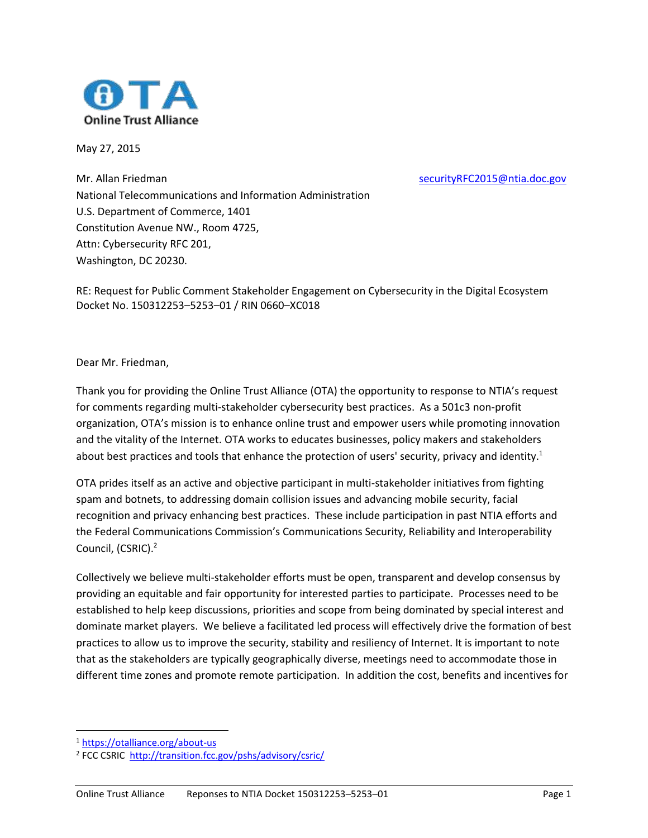

May 27, 2015

Mr. Allan Friedman [securityRFC2015@ntia.doc.gov](mailto:securityRFC2015@ntia.doc.gov) National Telecommunications and Information Administration U.S. Department of Commerce, 1401 Constitution Avenue NW., Room 4725, Attn: Cybersecurity RFC 201, Washington, DC 20230.

RE: Request for Public Comment Stakeholder Engagement on Cybersecurity in the Digital Ecosystem Docket No. 150312253–5253–01 / RIN 0660–XC018

Dear Mr. Friedman,

Thank you for providing the Online Trust Alliance (OTA) the opportunity to response to NTIA's request for comments regarding multi-stakeholder cybersecurity best practices. As a 501c3 non-profit organization, OTA's mission is to enhance online trust and empower users while promoting innovation and the vitality of the Internet. OTA works to educates businesses, policy makers and stakeholders about best practices and tools that enhance the protection of users' security, privacy and identity.<sup>1</sup>

OTA prides itself as an active and objective participant in multi-stakeholder initiatives from fighting spam and botnets, to addressing domain collision issues and advancing mobile security, facial recognition and privacy enhancing best practices. These include participation in past NTIA efforts and the Federal Communications Commission's Communications Security, Reliability and Interoperability Council, (CSRIC).<sup>2</sup>

Collectively we believe multi-stakeholder efforts must be open, transparent and develop consensus by providing an equitable and fair opportunity for interested parties to participate. Processes need to be established to help keep discussions, priorities and scope from being dominated by special interest and dominate market players. We believe a facilitated led process will effectively drive the formation of best practices to allow us to improve the security, stability and resiliency of Internet. It is important to note that as the stakeholders are typically geographically diverse, meetings need to accommodate those in different time zones and promote remote participation. In addition the cost, benefits and incentives for

l

<sup>1</sup> <https://otalliance.org/about-us>

<sup>&</sup>lt;sup>2</sup> FCC CSRIC <http://transition.fcc.gov/pshs/advisory/csric/>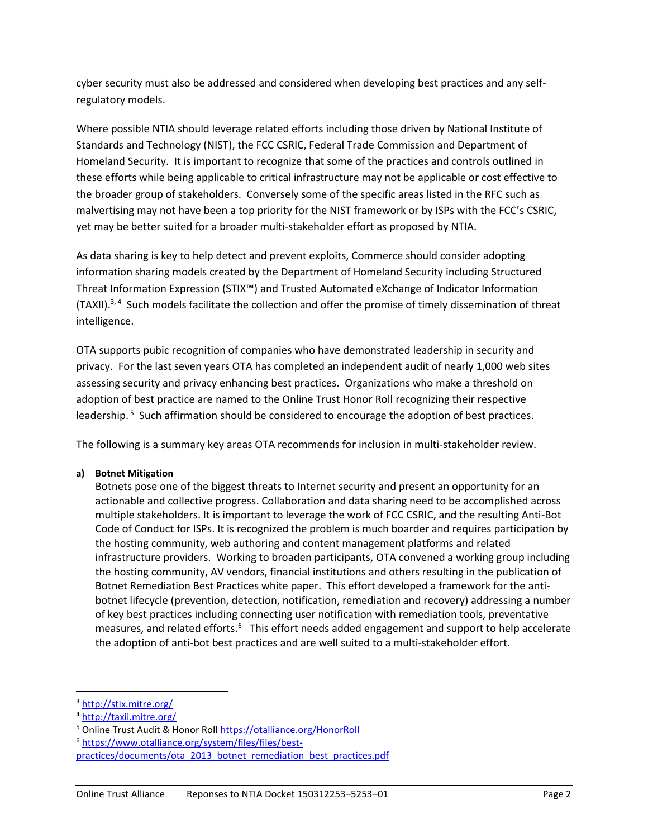cyber security must also be addressed and considered when developing best practices and any selfregulatory models.

Where possible NTIA should leverage related efforts including those driven by National Institute of Standards and Technology (NIST), the FCC CSRIC, Federal Trade Commission and Department of Homeland Security. It is important to recognize that some of the practices and controls outlined in these efforts while being applicable to critical infrastructure may not be applicable or cost effective to the broader group of stakeholders. Conversely some of the specific areas listed in the RFC such as malvertising may not have been a top priority for the NIST framework or by ISPs with the FCC's CSRIC, yet may be better suited for a broader multi-stakeholder effort as proposed by NTIA.

As data sharing is key to help detect and prevent exploits, Commerce should consider adopting information sharing models created by the Department of Homeland Security including Structured Threat Information Expression (STIX™) and Trusted Automated eXchange of Indicator Information (TAXII). 3, 4 Such models facilitate the collection and offer the promise of timely dissemination of threat intelligence.

OTA supports pubic recognition of companies who have demonstrated leadership in security and privacy. For the last seven years OTA has completed an independent audit of nearly 1,000 web sites assessing security and privacy enhancing best practices. Organizations who make a threshold on adoption of best practice are named to the Online Trust Honor Roll recognizing their respective leadership.<sup>5</sup> Such affirmation should be considered to encourage the adoption of best practices.

The following is a summary key areas OTA recommends for inclusion in multi-stakeholder review.

#### **a) Botnet Mitigation**

Botnets pose one of the biggest threats to Internet security and present an opportunity for an actionable and collective progress. Collaboration and data sharing need to be accomplished across multiple stakeholders. It is important to leverage the work of FCC CSRIC, and the resulting Anti-Bot Code of Conduct for ISPs. It is recognized the problem is much boarder and requires participation by the hosting community, web authoring and content management platforms and related infrastructure providers. Working to broaden participants, OTA convened a working group including the hosting community, AV vendors, financial institutions and others resulting in the publication of Botnet Remediation Best Practices white paper. This effort developed a framework for the antibotnet lifecycle (prevention, detection, notification, remediation and recovery) addressing a number of key best practices including connecting user notification with remediation tools, preventative measures, and related efforts.<sup>6</sup> This effort needs added engagement and support to help accelerate the adoption of anti-bot best practices and are well suited to a multi-stakeholder effort.

l

<sup>3</sup> <http://stix.mitre.org/>

<sup>4</sup> <http://taxii.mitre.org/>

<sup>5</sup> Online Trust Audit & Honor Roll<https://otalliance.org/HonorRoll>

<sup>6</sup> [https://www.otalliance.org/system/files/files/best-](https://www.otalliance.org/system/files/files/best-practices/documents/ota_2013_botnet_remediation_best_practices.pdf)

[practices/documents/ota\\_2013\\_botnet\\_remediation\\_best\\_practices.pdf](https://www.otalliance.org/system/files/files/best-practices/documents/ota_2013_botnet_remediation_best_practices.pdf)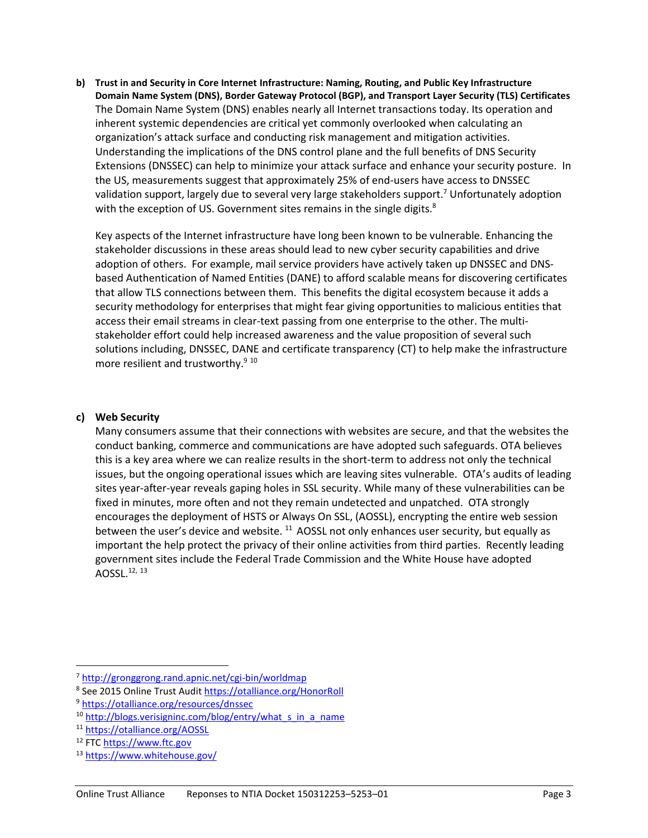**b) Trust in and Security in Core Internet Infrastructure: Naming, Routing, and Public Key Infrastructure Domain Name System (DNS), Border Gateway Protocol (BGP), and Transport Layer Security (TLS) Certificates** The Domain Name System (DNS) enables nearly all Internet transactions today. Its operation and inherent systemic dependencies are critical yet commonly overlooked when calculating an organization's attack surface and conducting risk management and mitigation activities. Understanding the implications of the DNS control plane and the full benefits of DNS Security Extensions (DNSSEC) can help to minimize your attack surface and enhance your security posture. In the US, measurements suggest that approximately 25% of end-users have access to DNSSEC validation support, largely due to several very large stakeholders support.<sup>7</sup> Unfortunately adoption with the exception of US. Government sites remains in the single digits. $^8$ 

Key aspects of the Internet infrastructure have long been known to be vulnerable. Enhancing the stakeholder discussions in these areas should lead to new cyber security capabilities and drive adoption of others. For example, mail service providers have actively taken up DNSSEC and DNSbased Authentication of Named Entities (DANE) to afford scalable means for discovering certificates that allow TLS connections between them. This benefits the digital ecosystem because it adds a security methodology for enterprises that might fear giving opportunities to malicious entities that access their email streams in clear-text passing from one enterprise to the other. The multistakeholder effort could help increased awareness and the value proposition of several such solutions including, DNSSEC, DANE and certificate transparency (CT) to help make the infrastructure more resilient and trustworthy.<sup>9 10</sup>

## **c) Web Security**

Many consumers assume that their connections with websites are secure, and that the websites the conduct banking, commerce and communications are have adopted such safeguards. OTA believes this is a key area where we can realize results in the short-term to address not only the technical issues, but the ongoing operational issues which are leaving sites vulnerable. OTA's audits of leading sites year-after-year reveals gaping holes in SSL security. While many of these vulnerabilities can be fixed in minutes, more often and not they remain undetected and unpatched. OTA strongly encourages the deployment of HSTS or Always On SSL, (AOSSL), encrypting the entire web session between the user's device and website. <sup>11</sup> AOSSL not only enhances user security, but equally as important the help protect the privacy of their online activities from third parties. Recently leading government sites include the Federal Trade Commission and the White House have adopted AOSSL. 12, 13

 $\overline{\phantom{a}}$ 

<sup>7</sup> <http://gronggrong.rand.apnic.net/cgi-bin/worldmap>

<sup>&</sup>lt;sup>8</sup> See 2015 Online Trust Audit<https://otalliance.org/HonorRoll>

<sup>9</sup> <https://otalliance.org/resources/dnssec>

<sup>&</sup>lt;sup>10</sup> [http://blogs.verisigninc.com/blog/entry/what\\_s\\_in\\_a\\_name](http://blogs.verisigninc.com/blog/entry/what_s_in_a_name)

<sup>11</sup> <https://otalliance.org/AOSSL>

<sup>12</sup> FTC [https://www.ftc.gov](https://www.ftc.gov/)

<sup>13</sup> <https://www.whitehouse.gov/>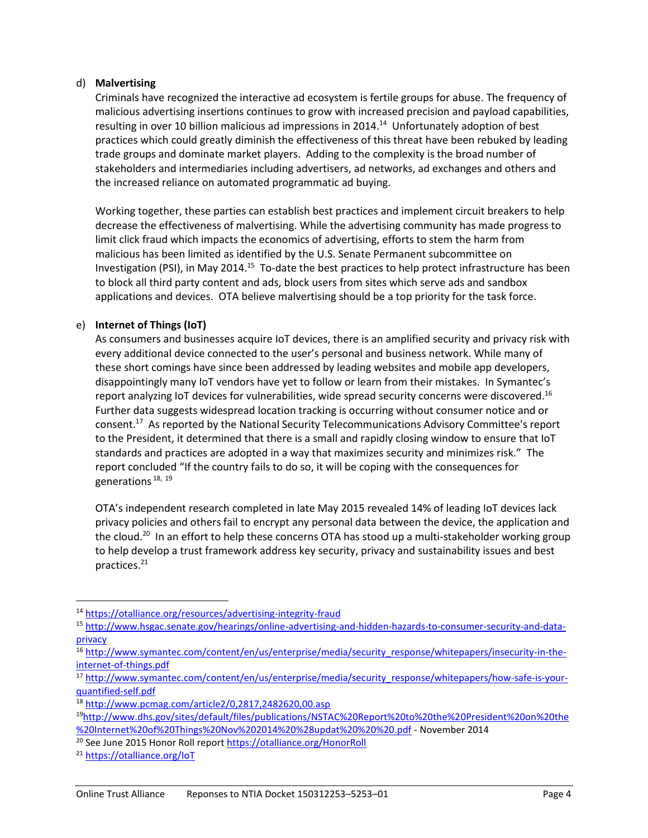### d) **Malvertising**

Criminals have recognized the interactive ad ecosystem is fertile groups for abuse. The frequency of malicious advertising insertions continues to grow with increased precision and payload capabilities, resulting in over 10 billion malicious ad impressions in 2014.<sup>14</sup> Unfortunately adoption of best practices which could greatly diminish the effectiveness of this threat have been rebuked by leading trade groups and dominate market players. Adding to the complexity is the broad number of stakeholders and intermediaries including advertisers, ad networks, ad exchanges and others and the increased reliance on automated programmatic ad buying.

Working together, these parties can establish best practices and implement circuit breakers to help decrease the effectiveness of malvertising. While the advertising community has made progress to limit click fraud which impacts the economics of advertising, efforts to stem the harm from malicious has been limited as identified by the U.S. Senate Permanent subcommittee on Investigation (PSI), in May 2014.<sup>15</sup> To-date the best practices to help protect infrastructure has been to block all third party content and ads, block users from sites which serve ads and sandbox applications and devices. OTA believe malvertising should be a top priority for the task force.

# e) **Internet of Things (IoT)**

As consumers and businesses acquire IoT devices, there is an amplified security and privacy risk with every additional device connected to the user's personal and business network. While many of these short comings have since been addressed by leading websites and mobile app developers, disappointingly many IoT vendors have yet to follow or learn from their mistakes. In Symantec's report analyzing IoT devices for vulnerabilities, wide spread security concerns were discovered.<sup>16</sup> Further data suggests widespread location tracking is occurring without consumer notice and or consent.<sup>17</sup> As reported by the National Security Telecommunications Advisory Committee's report to the President, it determined that there is a small and rapidly closing window to ensure that IoT standards and practices are adopted in a way that maximizes security and minimizes risk." The report concluded "If the country fails to do so, it will be coping with the consequences for generations<sup>18, 19</sup>

OTA's independent research completed in late May 2015 revealed 14% of leading IoT devices lack privacy policies and others fail to encrypt any personal data between the device, the application and the cloud.<sup>20</sup> In an effort to help these concerns OTA has stood up a multi-stakeholder working group to help develop a trust framework address key security, privacy and sustainability issues and best practices.<sup>21</sup>

 $\overline{\phantom{a}}$ 

<sup>14</sup> <https://otalliance.org/resources/advertising-integrity-fraud>

<sup>15</sup> [http://www.hsgac.senate.gov/hearings/online-advertising-and-hidden-hazards-to-consumer-security-and-data](http://www.hsgac.senate.gov/hearings/online-advertising-and-hidden-hazards-to-consumer-security-and-data-privacy)[privacy](http://www.hsgac.senate.gov/hearings/online-advertising-and-hidden-hazards-to-consumer-security-and-data-privacy)

<sup>16</sup> [http://www.symantec.com/content/en/us/enterprise/media/security\\_response/whitepapers/insecurity-in-the](http://www.symantec.com/content/en/us/enterprise/media/security_response/whitepapers/insecurity-in-the-internet-of-things.pdf)[internet-of-things.pdf](http://www.symantec.com/content/en/us/enterprise/media/security_response/whitepapers/insecurity-in-the-internet-of-things.pdf)

<sup>17</sup> [http://www.symantec.com/content/en/us/enterprise/media/security\\_response/whitepapers/how-safe-is-your](http://www.symantec.com/content/en/us/enterprise/media/security_response/whitepapers/how-safe-is-your-quantified-self.pdf)[quantified-self.pdf](http://www.symantec.com/content/en/us/enterprise/media/security_response/whitepapers/how-safe-is-your-quantified-self.pdf)

<sup>18</sup> <http://www.pcmag.com/article2/0,2817,2482620,00.asp>

<sup>19</sup>[http://www.dhs.gov/sites/default/files/publications/NSTAC%20Report%20to%20the%20President%20on%20the](http://www.dhs.gov/sites/default/files/publications/NSTAC%20Report%20to%20the%20President%20on%20the%20Internet%20of%20Things%20Nov%202014%20%28updat%20%20%20.pdf) [%20Internet%20of%20Things%20Nov%202014%20%28updat%20%20%20.pdf](http://www.dhs.gov/sites/default/files/publications/NSTAC%20Report%20to%20the%20President%20on%20the%20Internet%20of%20Things%20Nov%202014%20%28updat%20%20%20.pdf) - November 2014

<sup>20</sup> See June 2015 Honor Roll repor[t https://otalliance.org/HonorRoll](https://otalliance.org/HonorRoll)

<sup>21</sup> <https://otalliance.org/IoT>